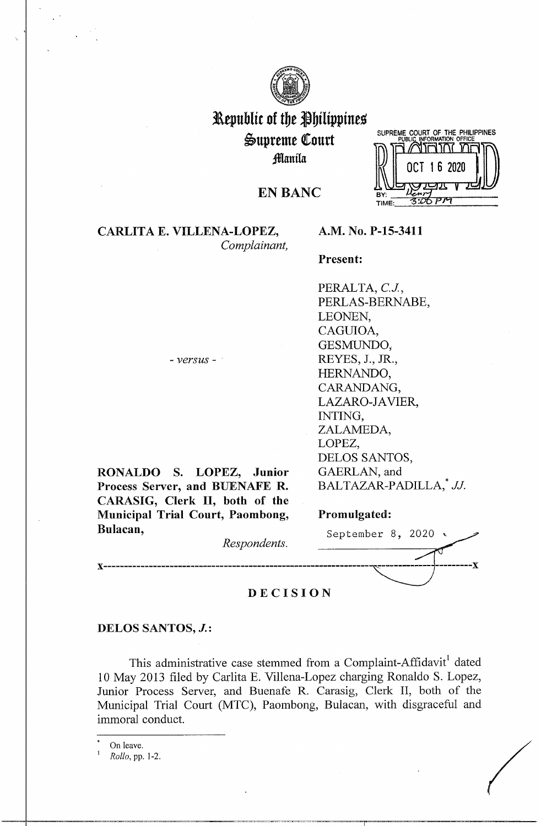

# l\epublit of tbe *jbilippints*  i>upreme (ourt ;fflanila



# **EN BANC**

# **CARLITA E. VILLENA-LOPEZ,**  *Complainant,*

# **A.M. No. P-15-3411**

#### **Present:**

PERALTA, *CJ.,*  PERLAS-BERNABE, LEONEN, CAGUIOA, GESMUNDO,. REYES, J., JR., HERNANDO, CARANDANG, LAZARO-JAVIER, INTING, ZALAMEDA, LOPEZ, DELOS SANTOS, GAERLAN, and BALTAZAR-PADILLA,\* *JJ.* 

- *versus* -

**RONALDO S. LOPEZ, Junior Process Server, and BUENAFE R. CARASIG, Clerk** II, **both of the Municipal Trial Court, Paombong, Bul** 

| BALTAZAR-PADILLA, <sup>*</sup> JJ. |
|------------------------------------|
|                                    |
| Promulgated:                       |
| September 8, 2020 $\sqrt{ }$       |
|                                    |
|                                    |

# **DECISION**

#### **DELOS SANTOS, J.:**

This administrative case stemmed from a Complaint-Affidavit<sup>1</sup> dated 10 May 2013 filed by Carlita E. Villena-Lopez charging Ronaldo S. Lopez, Junior Process Server, and Buenafe R. Carasig, Clerk II, both of the Municipal Trial Court (MTC), Paombong, Bulacan, with disgraceful and immoral conduct.

On leave.<br>Rollo, pp. 1-2.  $\begin{array}{c}\n\text{On leave.} \\
\text{1} \quad \text{Rollo, pp. 1-2.}\n\end{array}$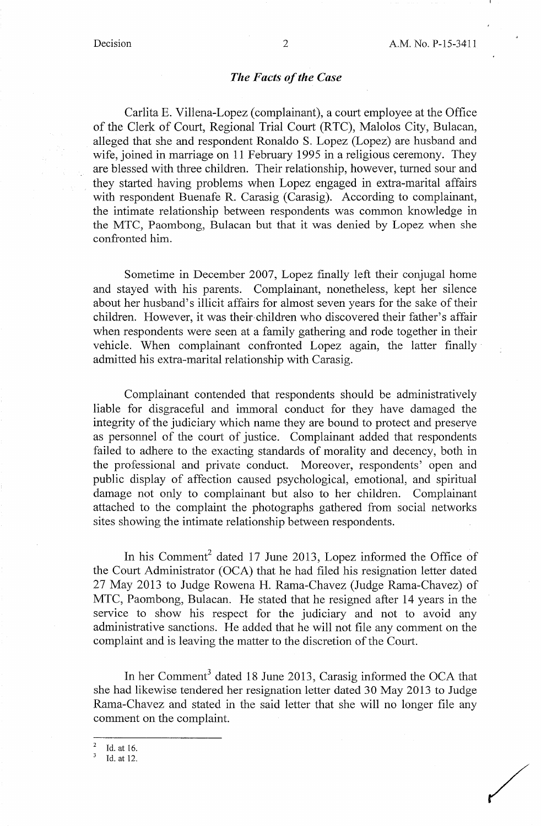/

### *The Facts of the Case*

Carlita E. Villena-Lopez (complainant), a court employee at the Office of the Clerk of Court, Regional Trial Court (RTC), Malolos City, Bulacan, alleged that she and respondent Ronaldo S. Lopez (Lopez) are husband and wife, joined in marriage on 11 February 1995 in a religious ceremony. They are blessed with three children. Their relationship, however, turned sour and they started having problems when Lopez engaged in extra-marital affairs with respondent Buenafe R. Carasig (Carasig). According to complainant, the intimate relationship between respondents was common knowledge in the MTC, Paombong, Bulacan but that it was denied by Lopez when she confronted him.

Sometime in December 2007, Lopez finally left their conjugal home and stayed with his parents. Complainant, nonetheless, kept her silence about her husband's illicit affairs for almost seven years for the sake of their children. However, it was their-children who discovered their father's affair when respondents were seen at a family gathering and rode together in their vehicle. When complainant confronted Lopez again, the latter finally admitted his extra-marital relationship with Carasig.

Complainant contended that respondents should be administratively liable for disgraceful and immoral conduct for they have damaged the integrity of the judiciary which name they are bound to protect and preserve as personnel of the court of justice. Complainant added that respondents failed to adhere to the exacting standards of morality and decency, both in the professional and private conduct. Moreover, respondents' open and public display of affection caused psychological, emotional, and spiritual damage not only to complainant but also to her children. Complainant attached to the complaint the photographs gathered from social networks sites showing the intimate relationship between respondents.

In his Comment<sup>2</sup> dated 17 June 2013, Lopez informed the Office of the Court Administrator (OCA) that he had filed his resignation letter dated 27 May 2013 to Judge Rowena H. Rama-Chavez (Judge Rama-Chavez) of MTC, Paombong, Bulacan. He stated that he resigned after 14 years in the service to show his respect for the judiciary and not to avoid any administrative sanctions. He added that he will not file any comment on the complaint and is leaving the matter to the discretion of the Court.

In her Comment<sup>3</sup> dated 18 June 2013, Carasig informed the OCA that she had likewise tendered her resignation letter dated 30 May 2013 to Judge Rama-Chavez and stated in the said letter that she will no longer file any comment on the complaint.

<sup>2</sup>Id. at 16.

Id. at 12.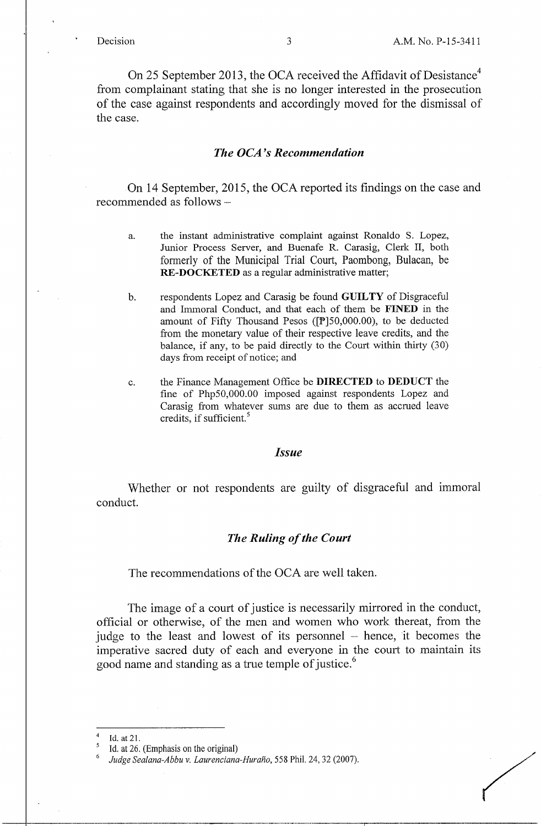On 25 September 2013, the OCA received the Affidavit of Desistance<sup>4</sup> from complainant stating that she is no longer interested in the prosecution of the case against respondents and accordingly moved for the dismissal of the case.

#### *The OCA 's Recommendation*

On 14 September, 2015, the OCA reported its findings on the case and recommended as follows -

- a. the instant administrative complaint against Ronaldo S. Lopez, Junior Process Server, and Buenafe R. Carasig, Clerk II, both formerly of the Municipal Trial Court, Paombong, Bulacan, be **RE-DOCKETED** as a regular administrative matter;
- b. respondents Lopez and Carasig be found **GUILTY** of Disgraceful and Immoral Conduct, and that each of them be **FINED** in the amount of Fifty Thousand Pesos ([P]50,000.00), to be deducted from the monetary value of their respective leave credits, and the balance, if any, to be paid directly to the Court within thirty (30) days from receipt of notice; and
- c. the Finance Management Office be **DIRECTED** to **DEDUCT** the fine of Php50,000.00 imposed against respondents Lopez and Carasig from whatever sums are due to them as accrued leave credits, if sufficient.<sup>5</sup>

#### *Issue*

Whether or not respondents are guilty of disgraceful and immoral conduct.

#### *The Ruling of the Court*

The recommendations of the OCA are well taken.

The image of a court of justice is necessarily mirrored in the conduct, official or otherwise, of the men and women who work thereat, from the judge to the least and lowest of its personnel  $-$  hence, it becomes the imperative sacred duty of each and everyone in the court to maintain its good name and standing as a true temple of justice.<sup>6</sup>

<sup>4</sup>Id. at 21.

Id. at 26. (Emphasis on the original)

<sup>6</sup>*Judge Sealana-Abbu v. Laurenciana-Hurano,* 558 Phil. 24, 32 (2007).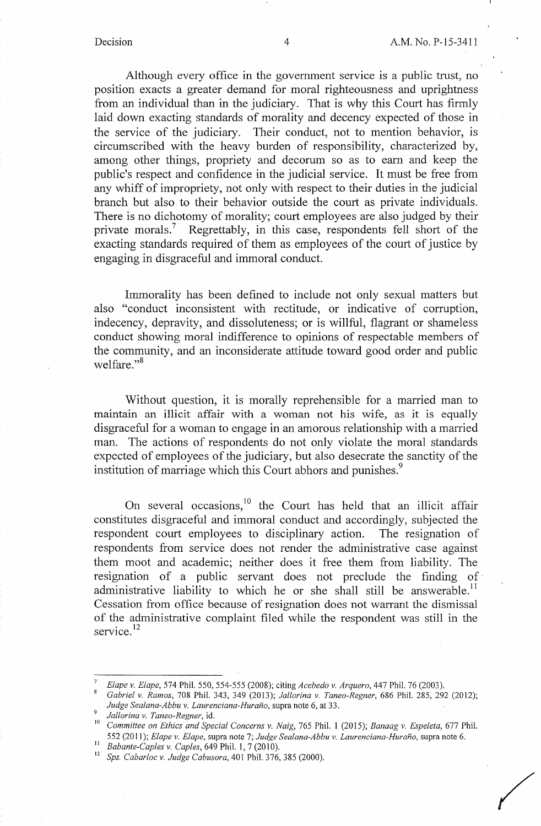Although every office in the government service is a public trust, no position exacts a greater demand for moral righteousness and uprightness from an individual than in the judiciary. That is why this Court has firmly laid down exacting standards of morality and decency expected of those in the service of the judiciary. Their conduct, not to mention behavior, is circumscribed with the heavy burden of responsibility, characterized by, among other things, propriety and decorum so as to earn and keep the public's respect and confidence in the judicial service. It must be free from any whiff of impropriety, not only with respect to their duties in the judicial branch but also to their behavior outside the court as private individuals. There is no dichotomy of morality; court employees are also judged by their private morals.<sup>7</sup> Regrettably, in this case, respondents fell short of the exacting standards required of them as employees of the court of justice by engaging in disgraceful and immoral conduct.

Immorality has been defined to include not only sexual matters but also "conduct inconsistent with rectitude, or indicative of corruption, indecency, depravity, and dissoluteness; or is willful, flagrant or shameless conduct showing moral indifference to opinions of respectable members of the community, and an inconsiderate attitude toward good order and public welfare."<sup>8</sup>

Without question, it is morally reprehensible for a married man to maintain an illicit affair with a woman not his wife, as it is equally disgraceful for a woman to engage in an amorous relationship with a married man. The actions of respondents do not only violate the moral standards expected of employees of the judiciary, but also desecrate the sanctity of the institution of marriage which this Court abhors and punishes.<sup>9</sup>

On several occasions,<sup>10</sup> the Court has held that an illicit affair constitutes disgraceful and immoral conduct and accordingly, subjected the respondent court employees to disciplinary action. The resignation of respondents from service does not render the administrative case against them moot and academic; neither does it free them from liability. The resignation of a public servant does not preclude the finding of administrative liability to which he or she shall still be answerable.<sup>11</sup> Cessation from office because of resignation does not warrant the dismissal of the administrative complaint filed while the respondent was still in the service.<sup>12</sup>

<sup>7</sup>*Elape v. Elape,* 574 Phil. 550, 554-555 (2008); citing *Acebedo v. Arquero,* 447 Phil. 76 (2003). 8 *Gabriel v. Ramos,* 708 Phil. 343, 349 (2013); *Jallorina v. Taneo-Regner,* 686 Phil. 285, 292 (2012);

Judge Sealana-Abbu v. Laurenciana-Huraño, supra note 6, at 33.<br><sup>9</sup> *Jallorina v. Taneo-Regner*, id.<br><sup>10</sup> Committee on Ethics and Special Concerns v. Naig, 765 Phil. 1 (2015); Banaag v. Espeleta, 677 Phil.

<sup>552 (2011);</sup> Elape v. Elape, supra note 7; Judge Sealana-Abbu v. Laurenciana-Huraño, supra note 6.<br>
<sup>11</sup> Babante-Caples v. Caples, 649 Phil. 1, 7 (2010).<br>
<sup>12</sup> Sps. Cabarloc v. Judge Cabusora, 401 Phil. 376, 385 (2000).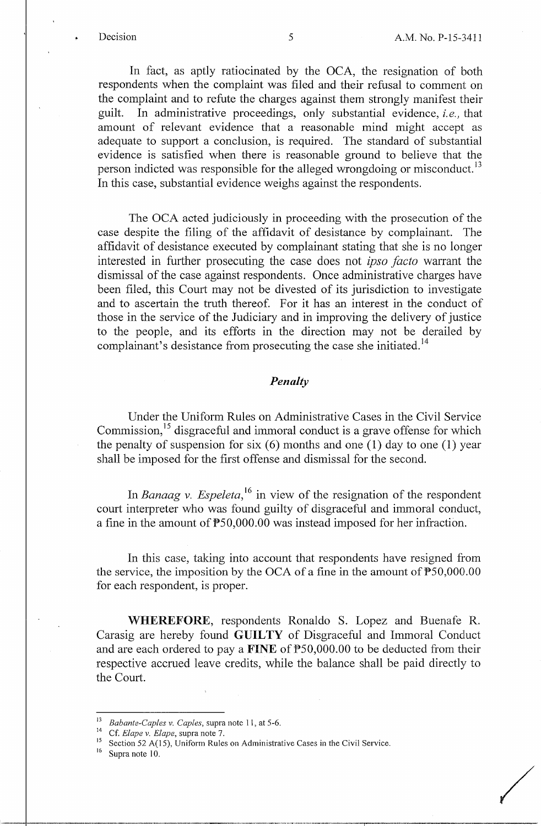/

In fact, as aptly ratiocinated by the OCA, the resignation of both respondents when the complaint was filed and their refusal to comment on the complaint and to refute the charges against them strongly manifest their guilt. In administrative proceedings, only substantial evidence, *i.e.,* that amount of relevant evidence that a reasonable mind might accept as adequate to support a conclusion, is required. The standard of substantial evidence is satisfied when there is reasonable ground to believe that the person indicted was responsible for the alleged wrongdoing or misconduct.<sup>13</sup> In this case, substantial evidence weighs against the respondents.

The OCA acted judiciously in proceeding with the prosecution of the case despite the filing of the affidavit of desistance by complainant. The affidavit of desistance executed by complainant stating that she is no longer interested in further prosecuting the case does not *ipso facto* warrant the dismissal of the case against respondents. Once administrative charges have been filed, this Court may not be divested of its jurisdiction to investigate and to ascertain the truth thereof. For it has an interest in the conduct of those in the service of the Judiciary and in improving the delivery of justice to the people, and its efforts in the direction may not be derailed by complainant's desistance from prosecuting the case she initiated.<sup>14</sup>

# *Penalty*

Under the Uniform Rules on Administrative Cases in the Civil Service Commission,<sup>15</sup> disgraceful and immoral conduct is a grave offense for which the penalty of suspension for six  $(6)$  months and one  $(1)$  day to one  $(1)$  year shall be imposed for the first offense and dismissal for the second.

In *Banaag v. Espeleta*,<sup>16</sup> in view of the resignation of the respondent court interpreter who was found guilty of disgraceful and immoral conduct, a fine in the amount of P50,000.00 was instead imposed for her infraction.

In this case, taking into account that respondents have resigned from the service, the imposition by the OCA of a fine in the amount of  $\mathbb{P}50,000.00$ for each respondent, is proper.

**WHEREFORE,** respondents Ronaldo S. Lopez and Buenafe R. Carasig are hereby found **GUILTY** of Disgraceful and Immoral Conduct and are each ordered to pay a **FINE** of P50,000.00 to be deducted from their respective accrued leave credits, while the balance shall be paid directly to the Court.

<sup>&</sup>lt;sup>13</sup> Babante-Caples v. Caples, supra note 11, at 5-6.<br><sup>14</sup> Cf. *Elape v. Elape*, supra note 7.<br><sup>15</sup> Section 52 A(15), Uniform Rules on Administrative Cases in the Civil Service.

Supra note 10.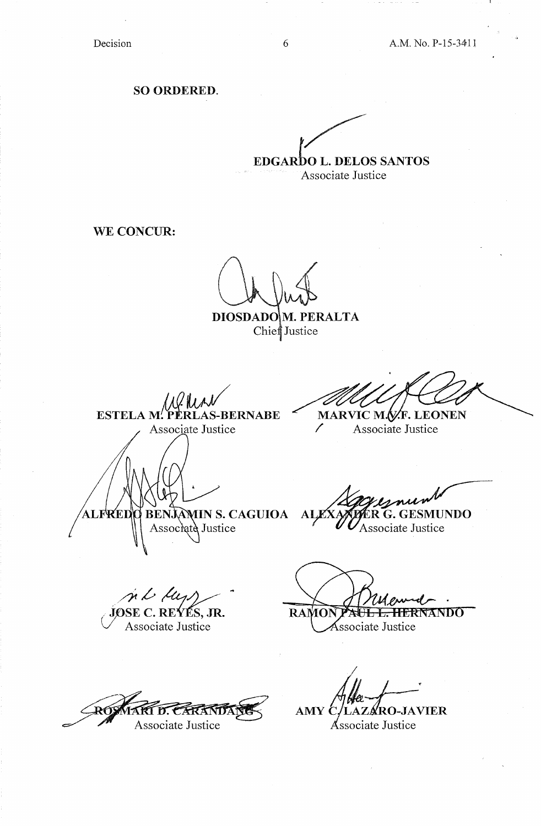**SO ORDERED.** 

**EDGARDO L. DELOS SANTOS** Associate Justice

**WE CONCUR:** 

DIOSDADOM. PERALTA Chief Justice

ESTELA M. PERI **AS-BERNABE** Associate Justice

MARVIC M.V.F. LEONEN  $\diagup$ Associate Justice

BENJAMIN S. CAGUIOA **RED AT R** Associate Justice

**TUNDO Associate Justice** 

n L A JOSE C. REÝÉS, JR.

Associate Justice

**RAMON** <del>L. HERNANDO</del>

Ssociate Justice

Associate Justice

**JAVIER** AMY Č

Associate Justice